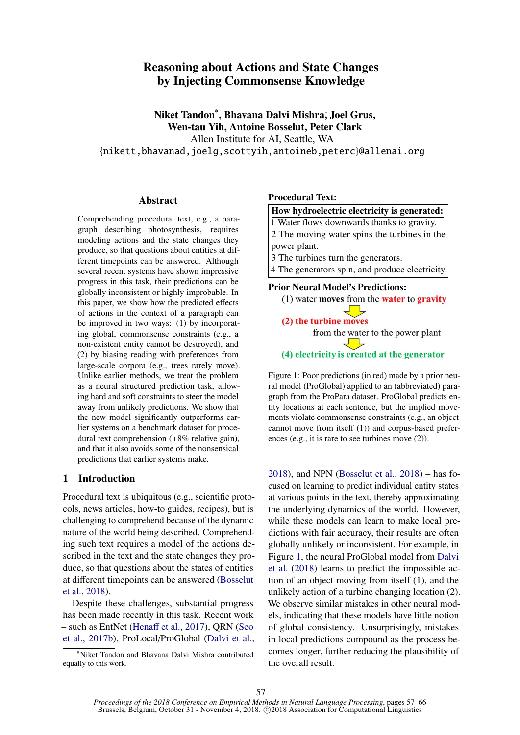# <span id="page-0-1"></span>Reasoning about Actions and State Changes by Injecting Commonsense Knowledge

Niket Tandon\* , Bhavana Dalvi Mishra<sup>∗</sup> , Joel Grus, Wen-tau Yih, Antoine Bosselut, Peter Clark

Allen Institute for AI, Seattle, WA

{nikett,bhavanad,joelg,scottyih,antoineb,peterc}@allenai.org

#### Abstract

Comprehending procedural text, e.g., a paragraph describing photosynthesis, requires modeling actions and the state changes they produce, so that questions about entities at different timepoints can be answered. Although several recent systems have shown impressive progress in this task, their predictions can be globally inconsistent or highly improbable. In this paper, we show how the predicted effects of actions in the context of a paragraph can be improved in two ways: (1) by incorporating global, commonsense constraints (e.g., a non-existent entity cannot be destroyed), and (2) by biasing reading with preferences from large-scale corpora (e.g., trees rarely move). Unlike earlier methods, we treat the problem as a neural structured prediction task, allowing hard and soft constraints to steer the model away from unlikely predictions. We show that the new model significantly outperforms earlier systems on a benchmark dataset for procedural text comprehension (+8% relative gain), and that it also avoids some of the nonsensical predictions that earlier systems make.

### 1 Introduction

Procedural text is ubiquitous (e.g., scientific protocols, news articles, how-to guides, recipes), but is challenging to comprehend because of the dynamic nature of the world being described. Comprehending such text requires a model of the actions described in the text and the state changes they produce, so that questions about the states of entities at different timepoints can be answered [\(Bosselut](#page-8-0) [et al.,](#page-8-0) [2018\)](#page-8-0).

Despite these challenges, substantial progress has been made recently in this task. Recent work – such as EntNet [\(Hena](#page-9-0)ff et al., [2017\)](#page-9-0), QRN [\(Seo](#page-9-1) [et al.,](#page-9-1) [2017b\)](#page-9-1), ProLocal/ProGlobal [\(Dalvi et al.,](#page-9-2)

<sup>∗</sup>\*Niket Tandon and Bhavana Dalvi Mishra contributed equally to this work.

#### <span id="page-0-0"></span>Procedural Text:

#### How hydroelectric electricity is generated:

1 Water flows downwards thanks to gravity. 2 The moving water spins the turbines in the

power plant.

3 The turbines turn the generators.

4 The generators spin, and produce electricity.

Prior Neural Model's Predictions:



(4) electricity is created at the generator

Figure 1: Poor predictions (in red) made by a prior neural model (ProGlobal) applied to an (abbreviated) paragraph from the ProPara dataset. ProGlobal predicts entity locations at each sentence, but the implied movements violate commonsense constraints (e.g., an object cannot move from itself (1)) and corpus-based preferences (e.g., it is rare to see turbines move (2)).

[2018\)](#page-9-2), and NPN [\(Bosselut et al.,](#page-8-0) [2018\)](#page-8-0) – has focused on learning to predict individual entity states at various points in the text, thereby approximating the underlying dynamics of the world. However, while these models can learn to make local predictions with fair accuracy, their results are often globally unlikely or inconsistent. For example, in Figure [1,](#page-0-0) the neural ProGlobal model from [Dalvi](#page-9-2) [et al.](#page-9-2) [\(2018\)](#page-9-2) learns to predict the impossible action of an object moving from itself (1), and the unlikely action of a turbine changing location (2). We observe similar mistakes in other neural models, indicating that these models have little notion of global consistency. Unsurprisingly, mistakes in local predictions compound as the process becomes longer, further reducing the plausibility of the overall result.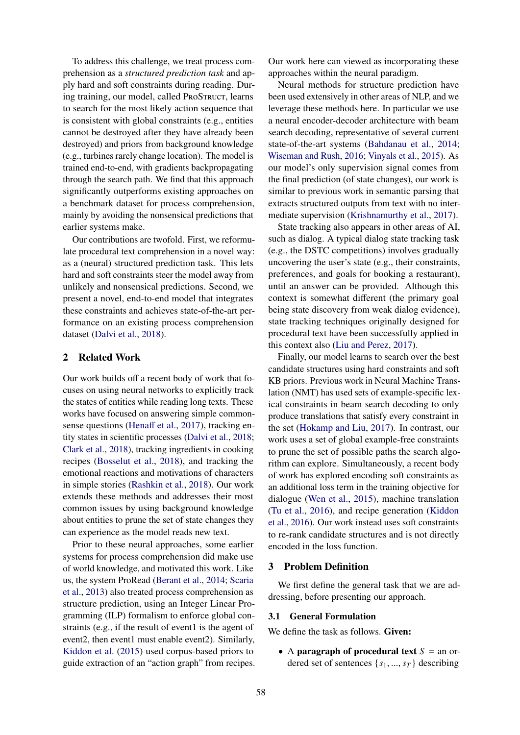To address this challenge, we treat process comprehension as a *structured prediction task* and apply hard and soft constraints during reading. During training, our model, called ProSTRUCT, learns to search for the most likely action sequence that is consistent with global constraints (e.g., entities cannot be destroyed after they have already been destroyed) and priors from background knowledge (e.g., turbines rarely change location). The model is trained end-to-end, with gradients backpropagating through the search path. We find that this approach significantly outperforms existing approaches on a benchmark dataset for process comprehension, mainly by avoiding the nonsensical predictions that earlier systems make.

Our contributions are twofold. First, we reformulate procedural text comprehension in a novel way: as a (neural) structured prediction task. This lets hard and soft constraints steer the model away from unlikely and nonsensical predictions. Second, we present a novel, end-to-end model that integrates these constraints and achieves state-of-the-art performance on an existing process comprehension dataset [\(Dalvi et al.,](#page-9-2) [2018\)](#page-9-2).

### 2 Related Work

Our work builds off a recent body of work that focuses on using neural networks to explicitly track the states of entities while reading long texts. These works have focused on answering simple commonsense questions [\(Hena](#page-9-0)ff et al., [2017\)](#page-9-0), tracking entity states in scientific processes [\(Dalvi et al.,](#page-9-2) [2018;](#page-9-2) [Clark et al.,](#page-8-1) [2018\)](#page-8-1), tracking ingredients in cooking recipes [\(Bosselut et al.,](#page-8-0) [2018\)](#page-8-0), and tracking the emotional reactions and motivations of characters in simple stories [\(Rashkin et al.,](#page-9-3) [2018\)](#page-9-3). Our work extends these methods and addresses their most common issues by using background knowledge about entities to prune the set of state changes they can experience as the model reads new text.

Prior to these neural approaches, some earlier systems for process comprehension did make use of world knowledge, and motivated this work. Like us, the system ProRead [\(Berant et al.,](#page-8-2) [2014;](#page-8-2) [Scaria](#page-9-4) [et al.,](#page-9-4) [2013\)](#page-9-4) also treated process comprehension as structure prediction, using an Integer Linear Programming (ILP) formalism to enforce global constraints (e.g., if the result of event1 is the agent of event2, then event1 must enable event2). Similarly, [Kiddon et al.](#page-9-5) [\(2015\)](#page-9-5) used corpus-based priors to guide extraction of an "action graph" from recipes. Our work here can viewed as incorporating these approaches within the neural paradigm.

Neural methods for structure prediction have been used extensively in other areas of NLP, and we leverage these methods here. In particular we use a neural encoder-decoder architecture with beam search decoding, representative of several current state-of-the-art systems [\(Bahdanau et al.,](#page-8-3) [2014;](#page-8-3) [Wiseman and Rush,](#page-9-6) [2016;](#page-9-6) [Vinyals et al.,](#page-9-7) [2015\)](#page-9-7). As our model's only supervision signal comes from the final prediction (of state changes), our work is similar to previous work in semantic parsing that extracts structured outputs from text with no intermediate supervision [\(Krishnamurthy et al.,](#page-9-8) [2017\)](#page-9-8).

State tracking also appears in other areas of AI, such as dialog. A typical dialog state tracking task (e.g., the DSTC competitions) involves gradually uncovering the user's state (e.g., their constraints, preferences, and goals for booking a restaurant), until an answer can be provided. Although this context is somewhat different (the primary goal being state discovery from weak dialog evidence), state tracking techniques originally designed for procedural text have been successfully applied in this context also [\(Liu and Perez,](#page-9-9) [2017\)](#page-9-9).

Finally, our model learns to search over the best candidate structures using hard constraints and soft KB priors. Previous work in Neural Machine Translation (NMT) has used sets of example-specific lexical constraints in beam search decoding to only produce translations that satisfy every constraint in the set [\(Hokamp and Liu,](#page-9-10) [2017\)](#page-9-10). In contrast, our work uses a set of global example-free constraints to prune the set of possible paths the search algorithm can explore. Simultaneously, a recent body of work has explored encoding soft constraints as an additional loss term in the training objective for dialogue [\(Wen et al.,](#page-9-11) [2015\)](#page-9-11), machine translation [\(Tu et al.,](#page-9-12) [2016\)](#page-9-12), and recipe generation [\(Kiddon](#page-9-13) [et al.,](#page-9-13) [2016\)](#page-9-13). Our work instead uses soft constraints to re-rank candidate structures and is not directly encoded in the loss function.

### 3 Problem Definition

We first define the general task that we are addressing, before presenting our approach.

#### 3.1 General Formulation

We define the task as follows. Given:

• A **paragraph of procedural text**  $S =$  an ordered set of sentences  $\{s_1, ..., s_T\}$  describing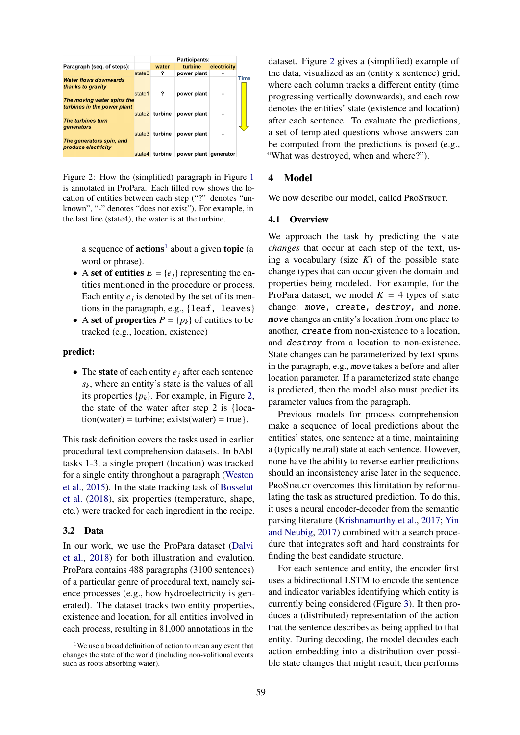<span id="page-2-0"></span>

|                                                           |        | <b>Participants:</b> |             |             |
|-----------------------------------------------------------|--------|----------------------|-------------|-------------|
| Paragraph (seq. of steps):                                |        | water                | turbine     | electricity |
|                                                           | state0 | ?                    | power plant |             |
| <b>Water flows downwards</b><br>thanks to gravity         |        |                      |             |             |
|                                                           | state1 | ?                    | power plant |             |
| The moving water spins the<br>turbines in the power plant |        |                      |             |             |
|                                                           |        | state2 turbine       | power plant |             |
| The turbines turn<br>generators                           |        |                      |             |             |
|                                                           |        | state3 turbine       | power plant |             |
| The generators spin, and<br>produce electricity           |        |                      |             |             |
|                                                           | state4 | turbine              | power plant | qenerator   |

Figure 2: How the (simplified) paragraph in Figure [1](#page-0-0) is annotated in ProPara. Each filled row shows the location of entities between each step ("?" denotes "unknown", "-" denotes "does not exist"). For example, in the last line (state4), the water is at the turbine.

a sequence of  $actions<sup>1</sup>$  $actions<sup>1</sup>$  $actions<sup>1</sup>$  about a given topic (a word or phrase).

- A set of entities  $E = \{e_i\}$  representing the entities mentioned in the procedure or process. Each entity  $e_j$  is denoted by the set of its mentions in the paragraph, e.g., {leaf, leaves}
- A set of properties  $P = \{p_k\}$  of entities to be tracked (e.g., location, existence)

#### predict:

• The state of each entity  $e_j$  after each sentence *sk*, where an entity's state is the values of all its properties  $\{p_k\}$ . For example, in Figure [2,](#page-2-0) the state of the water after step 2 is {loca- $\text{tion}(\text{water}) = \text{turbine}; \text{exists}(\text{water}) = \text{true}.$ 

This task definition covers the tasks used in earlier procedural text comprehension datasets. In bAbI tasks 1-3, a single propert (location) was tracked for a single entity throughout a paragraph [\(Weston](#page-9-14) [et al.,](#page-9-14) [2015\)](#page-9-14). In the state tracking task of [Bosselut](#page-8-0) [et al.](#page-8-0) [\(2018\)](#page-8-0), six properties (temperature, shape, etc.) were tracked for each ingredient in the recipe.

#### 3.2 Data

In our work, we use the ProPara dataset [\(Dalvi](#page-9-2) [et al.,](#page-9-2) [2018\)](#page-9-2) for both illustration and evalution. ProPara contains 488 paragraphs (3100 sentences) of a particular genre of procedural text, namely science processes (e.g., how hydroelectricity is generated). The dataset tracks two entity properties, existence and location, for all entities involved in each process, resulting in 81,000 annotations in the

dataset. Figure [2](#page-2-0) gives a (simplified) example of the data, visualized as an (entity x sentence) grid, where each column tracks a different entity (time progressing vertically downwards), and each row denotes the entities' state (existence and location) after each sentence. To evaluate the predictions, a set of templated questions whose answers can be computed from the predictions is posed (e.g., "What was destroyed, when and where?").

### 4 Model

We now describe our model, called PROSTRUCT.

#### 4.1 Overview

We approach the task by predicting the state *changes* that occur at each step of the text, using a vocabulary (size  $K$ ) of the possible state change types that can occur given the domain and properties being modeled. For example, for the ProPara dataset, we model  $K = 4$  types of state change: move, create, destroy, and none. move changes an entity's location from one place to another, create from non-existence to a location, and destroy from a location to non-existence. State changes can be parameterized by text spans in the paragraph, e.g., move takes a before and after location parameter. If a parameterized state change is predicted, then the model also must predict its parameter values from the paragraph.

Previous models for process comprehension make a sequence of local predictions about the entities' states, one sentence at a time, maintaining a (typically neural) state at each sentence. However, none have the ability to reverse earlier predictions should an inconsistency arise later in the sequence. PROSTRUCT overcomes this limitation by reformulating the task as structured prediction. To do this, it uses a neural encoder-decoder from the semantic parsing literature [\(Krishnamurthy et al.,](#page-9-8) [2017;](#page-9-8) [Yin](#page-9-15) [and Neubig,](#page-9-15) [2017\)](#page-9-15) combined with a search procedure that integrates soft and hard constraints for finding the best candidate structure.

For each sentence and entity, the encoder first uses a bidirectional LSTM to encode the sentence and indicator variables identifying which entity is currently being considered (Figure [3\)](#page-3-0). It then produces a (distributed) representation of the action that the sentence describes as being applied to that entity. During decoding, the model decodes each action embedding into a distribution over possible state changes that might result, then performs

<sup>&</sup>lt;sup>1</sup>We use a broad definition of action to mean any event that changes the state of the world (including non-volitional events such as roots absorbing water).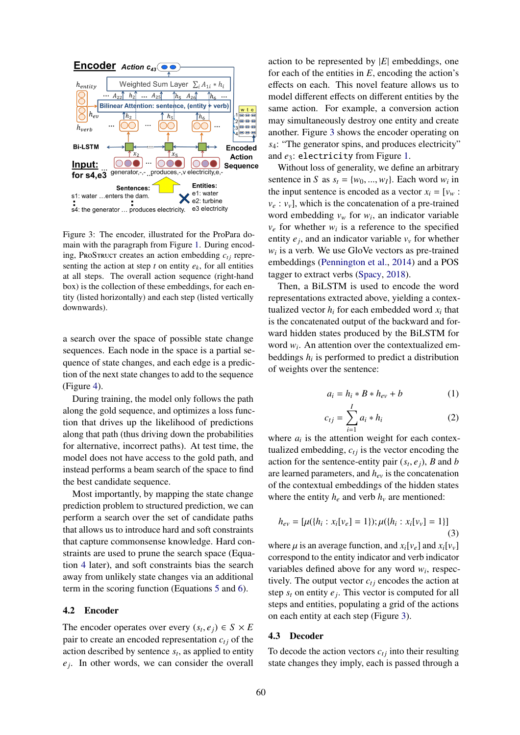<span id="page-3-0"></span>

Figure 3: The encoder, illustrated for the ProPara domain with the paragraph from Figure [1.](#page-0-0) During encoding, PROSTRUCT creates an action embedding  $c_{ti}$  representing the action at step *t* on entity  $e_k$ , for all entities at all steps. The overall action sequence (right-hand box) is the collection of these embeddings, for each entity (listed horizontally) and each step (listed vertically downwards).

a search over the space of possible state change sequences. Each node in the space is a partial sequence of state changes, and each edge is a prediction of the next state changes to add to the sequence (Figure [4\)](#page-4-0).

During training, the model only follows the path along the gold sequence, and optimizes a loss function that drives up the likelihood of predictions along that path (thus driving down the probabilities for alternative, incorrect paths). At test time, the model does not have access to the gold path, and instead performs a beam search of the space to find the best candidate sequence.

Most importantly, by mapping the state change prediction problem to structured prediction, we can perform a search over the set of candidate paths that allows us to introduce hard and soft constraints that capture commonsense knowledge. Hard constraints are used to prune the search space (Equation [4](#page-4-1) later), and soft constraints bias the search away from unlikely state changes via an additional term in the scoring function (Equations [5](#page-4-2) and [6\)](#page-4-3).

#### 4.2 Encoder

The encoder operates over every  $(s_t, e_j) \in S \times E$ <br>pair to create an encoded representation  $c_i$ , of the pair to create an encoded representation  $c_{tj}$  of the action described by sentence  $s_t$ , as applied to entity  $e_j$ . In other words, we can consider the overall action to be represented by |*E*| embeddings, one for each of the entities in *E*, encoding the action's effects on each. This novel feature allows us to model different effects on different entities by the same action. For example, a conversion action may simultaneously destroy one entity and create another. Figure [3](#page-3-0) shows the encoder operating on *s*4: "The generator spins, and produces electricity" and *e*3: electricity from Figure [1.](#page-0-0)

Without loss of generality, we define an arbitrary sentence in *S* as  $s_t = \{w_0, ..., w_I\}$ . Each word  $w_i$  in the input sentence is encoded as a vector  $x_t - y$ the input sentence is encoded as a vector  $x_i = [v_w :$  $v_e : v_v$ , which is the concatenation of a pre-trained word embedding  $v_w$  for  $w_i$ , an indicator variable  $v_e$  for whether  $w_i$  is a reference to the specified entity  $e_j$ , and an indicator variable  $v_\nu$  for whether  $w_i$  is a verb. We use GloVe vectors as pre-trained embeddings [\(Pennington et al.,](#page-9-16) [2014\)](#page-9-16) and a POS tagger to extract verbs [\(Spacy,](#page-9-17) [2018\)](#page-9-17).

Then, a BiLSTM is used to encode the word representations extracted above, yielding a contextualized vector  $h_i$  for each embedded word  $x_i$  that is the concatenated output of the backward and forward hidden states produced by the BiLSTM for word  $w_i$ . An attention over the contextualized embeddings  $h_i$  is performed to predict a distribution of weights over the sentence:

$$
a_i = h_i * B * h_{ev} + b \tag{1}
$$

$$
c_{tj} = \sum_{i=1}^{I} a_i * h_i \tag{2}
$$

where  $a_i$  is the attention weight for each contextualized embedding,  $c_{tj}$  is the vector encoding the action for the sentence-entity pair  $(s_t, e_j)$ , *B* and *b*<br>are learned parameters and *b* is the concatenation are learned parameters, and *hev* is the concatenation of the contextual embeddings of the hidden states where the entity  $h_e$  and verb  $h_v$  are mentioned:

$$
h_{ev} = [\mu({h_i : x_i[v_e] = 1}); \mu({h_i : x_i[v_v] = 1})]
$$
\n(3)

where  $\mu$  is an average function, and  $x_i[v_e]$  and  $x_i[v_v]$ correspond to the entity indicator and verb indicator variables defined above for any word *w<sup>i</sup>* , respectively. The output vector  $c_{ti}$  encodes the action at step  $s_t$  on entity  $e_j$ . This vector is computed for all steps and entities, populating a grid of the actions on each entity at each step (Figure [3\)](#page-3-0).

#### 4.3 Decoder

To decode the action vectors  $c_{tj}$  into their resulting state changes they imply, each is passed through a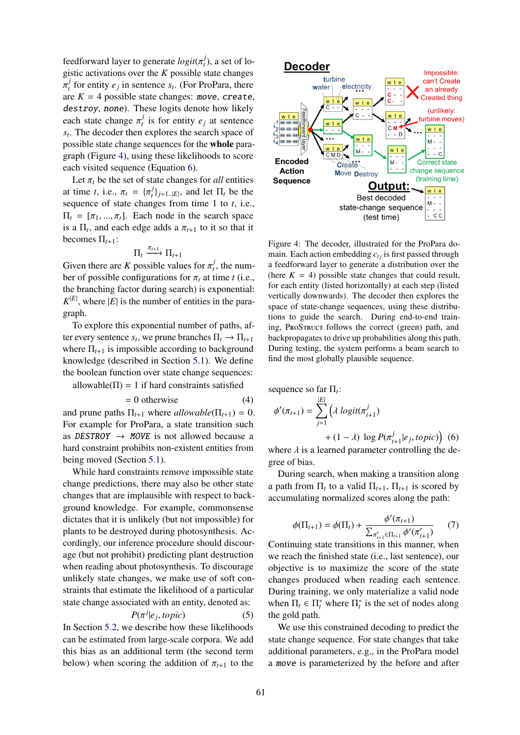feedforward layer to generate  $logit(\pi_t^j)$ <br>gistic activations over the K possible s  $t<sub>t</sub>$ ), a set of logistic activations over the *K* possible state changes are  $K = 4$  possible state changes: move, create, *j*  $t_t$ <sup>*t*</sup> for entity  $e_j$  in sentence  $s_t$ . (For ProPara, there destroy, none). These logits denote how likely each state change  $\pi_t^j$  $t_i$ <sup>*t*</sup> is for entity  $e_j$  at sentence *st* . The decoder then explores the search space of possible state change sequences for the whole paragraph (Figure [4\)](#page-4-0), using these likelihoods to score each visited sequence (Equation [6\)](#page-4-3).

Let  $\pi_t$  be the set of state changes for *all* entities at time *t*, i.e.,  $\pi_t = {\pi_t^j}$  $\prod_{t}^{J}$ <sub>*j*=1..|*E*|</sub>, and let  $\Pi_t$  be the sequence of state changes from time 1 to *t*, i.e.,  $\Pi_t = [\pi_1, ..., \pi_t]$ . Each node in the search space is a  $\Pi_t$ , and each edge adds a  $\pi_{t+1}$  to it so that it becomes  $\Pi$ . becomes  $\Pi_{t+1}$ :

$$
\Pi_t \xrightarrow{\pi_{t+1}} \Pi_{t+1}
$$

Given there are *K* possible values for  $\pi_t^j$ <br>her of possible configurations for  $\pi$ , at t  $t<sub>t</sub>$ , the number of possible configurations for  $\pi_t$  at time *t* (i.e., the branching factor during search) is exponential:  $K^{|E|}$ , where  $|E|$  is the number of entities in the paragraph.

To explore this exponential number of paths, after every sentence  $s_t$ , we prune branches  $\Pi_t \to \Pi_{t+1}$ where  $\Pi_{t+1}$  is impossible according to background knowledge (described in Section [5.1\)](#page-5-0). We define the boolean function over state change sequences:

allowable( $\Pi$ ) = 1 if hard constraints satisfied

$$
= 0 \text{ otherwise} \tag{4}
$$

and prune paths  $\Pi_{t+1}$  where *allowable*( $\Pi_{t+1}$ ) = 0. For example for ProPara, a state transition such as DESTROY  $\rightarrow$  MOVE is not allowed because a hard constraint prohibits non-existent entities from being moved (Section [5.1\)](#page-5-0).

While hard constraints remove impossible state change predictions, there may also be other state changes that are implausible with respect to background knowledge. For example, commonsense dictates that it is unlikely (but not impossible) for plants to be destroyed during photosynthesis. Accordingly, our inference procedure should discourage (but not prohibit) predicting plant destruction when reading about photosynthesis. To discourage unlikely state changes, we make use of soft constraints that estimate the likelihood of a particular state change associated with an entity, denoted as:

$$
P(\pi^j | e_j, topic) \tag{5}
$$

 $P(\pi^j | e_j, topic)$ <br>In Section [5.2,](#page-5-1) we describe how these likelihoods can be estimated from large-scale corpora. We add this bias as an additional term (the second term below) when scoring the addition of  $\pi_{t+1}$  to the

<span id="page-4-0"></span>

Figure 4: The decoder, illustrated for the ProPara domain. Each action embedding  $c_{ti}$  is first passed through a feedforward layer to generate a distribution over the (here  $K = 4$ ) possible state changes that could result, for each entity (listed horizontally) at each step (listed vertically downwards). The decoder then explores the space of state-change sequences, using these distributions to guide the search. During end-to-end training, ProStruct follows the correct (green) path, and backpropagates to drive up probabilities along this path. During testing, the system performs a beam search to find the most globally plausible sequence.

<span id="page-4-1"></span>sequence so far 
$$
\Pi_t
$$
:  
\n
$$
\phi'(\pi_{t+1}) = \sum_{j=1}^{|E|} \left( \lambda \log it(\pi_{t+1}^j) \right)
$$

<span id="page-4-3"></span>+ (1 –  $\lambda$ ) log  $P(\pi_t^j)$  $\int_{t+1}^{j} |e_j, \text{topic})$  (6)<br>
controlling the de

where  $\lambda$  is a learned parameter controlling the degree of bias.

During search, when making a transition along a path from  $\Pi_t$  to a valid  $\Pi_{t+1}$ ,  $\Pi_{t+1}$  is scored by accumulating normalized scores along the path:

$$
\phi(\Pi_{t+1}) = \phi(\Pi_t) + \frac{\phi'(\pi_{t+1})}{\sum_{\pi'_{t+1} \in \Pi_{t+1}} \phi'(\pi'_{t+1})}
$$
(7)

Continuing state transitions in this manner, when we reach the finished state (i.e., last sentence), our objective is to maximize the score of the state changes produced when reading each sentence. During training, we only materialize a valid node when  $\Pi_t \in \Pi_t^*$  where  $\Pi_t^*$  is the set of nodes along the gold path.

<span id="page-4-2"></span>We use this constrained decoding to predict the state change sequence. For state changes that take additional parameters, e.g., in the ProPara model a move is parameterized by the before and after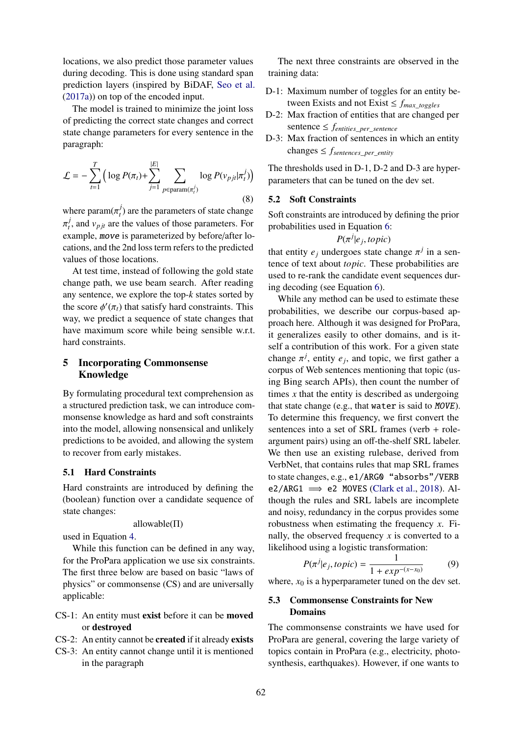locations, we also predict those parameter values during decoding. This is done using standard span prediction layers (inspired by BiDAF, [Seo et al.](#page-9-18) [\(2017a\)](#page-9-18)) on top of the encoded input.

The model is trained to minimize the joint loss of predicting the correct state changes and correct state change parameters for every sentence in the paragraph:

$$
\mathcal{L} = -\sum_{t=1}^{T} \left( \log P(\pi_t) + \sum_{j=1}^{|E|} \sum_{p \in \text{param}(\pi_t^j)} \log P(\nu_{pjt}|\pi_t^j) \right)
$$
(8)

where param $(\pi_t^j)$  $t$ <sup> $t$ </sup>) are the parameters of state change  $\sum_{i=1}^{n}$  example, move is parameterized by before/after lo*j*  $t'$ , and  $v_{pjt}$  are the values of those parameters. For cations, and the 2nd loss term refers to the predicted values of those locations.

At test time, instead of following the gold state change path, we use beam search. After reading any sentence, we explore the top-*k* states sorted by the score  $\phi'(\pi_t)$  that satisfy hard constraints. This way, we predict a sequence of state changes that have maximum score while being sensible w.r.t. hard constraints.

## 5 Incorporating Commonsense Knowledge

By formulating procedural text comprehension as a structured prediction task, we can introduce commonsense knowledge as hard and soft constraints into the model, allowing nonsensical and unlikely predictions to be avoided, and allowing the system to recover from early mistakes.

### <span id="page-5-0"></span>5.1 Hard Constraints

Hard constraints are introduced by defining the (boolean) function over a candidate sequence of state changes:

allowable(Π)

used in Equation [4.](#page-4-1)

While this function can be defined in any way, for the ProPara application we use six constraints. The first three below are based on basic "laws of physics" or commonsense (CS) and are universally applicable:

- CS-1: An entity must exist before it can be moved or destroyed
- CS-2: An entity cannot be created if it already exists
- CS-3: An entity cannot change until it is mentioned in the paragraph

The next three constraints are observed in the training data:

- D-1: Maximum number of toggles for an entity between Exists and not Exist  $\leq f_{max}$  *toggles*
- D-2: Max fraction of entities that are changed per sentence  $\leq$  *f*<sub>*entities per sentence*</sub>
- D-3: Max fraction of sentences in which an entity changes ≤ *fsentences*\_*per*\_*entity*

The thresholds used in D-1, D-2 and D-3 are hyperparameters that can be tuned on the dev set.

#### <span id="page-5-1"></span>5.2 Soft Constraints

Soft constraints are introduced by defining the prior probabilities used in Equation [6:](#page-4-3)

$$
P(\pi^j|e_j, topic)
$$

that entity  $e_j$  undergoes state change  $\pi^j$  in a sentence of text about *tonic*. These probabilities are tence of text about *topic*. These probabilities are used to re-rank the candidate event sequences during decoding (see Equation [6\)](#page-4-3).

While any method can be used to estimate these probabilities, we describe our corpus-based approach here. Although it was designed for ProPara, it generalizes easily to other domains, and is itself a contribution of this work. For a given state change  $\pi^{j}$ , entity  $e_j$ , and topic, we first gather a<br>corpus of Web septences mentioning that topic (us corpus of Web sentences mentioning that topic (using Bing search APIs), then count the number of times *x* that the entity is described as undergoing that state change (e.g., that water is said to MOVE). To determine this frequency, we first convert the sentences into a set of SRL frames (verb + roleargument pairs) using an off-the-shelf SRL labeler. We then use an existing rulebase, derived from VerbNet, that contains rules that map SRL frames to state changes, e.g., e1/ARG0 "absorbs"/VERB e2/ARG1  $\implies$  e2 MOVES [\(Clark et al.,](#page-8-1) [2018\)](#page-8-1). Although the rules and SRL labels are incomplete and noisy, redundancy in the corpus provides some robustness when estimating the frequency *x*. Finally, the observed frequency *x* is converted to a likelihood using a logistic transformation:

$$
P(\pi^{j}|e_{j}, topic) = \frac{1}{1 + exp^{-(x - x_{0})}}
$$
(9)

where,  $x_0$  is a hyperparameter tuned on the dev set.

### 5.3 Commonsense Constraints for New Domains

The commonsense constraints we have used for ProPara are general, covering the large variety of topics contain in ProPara (e.g., electricity, photosynthesis, earthquakes). However, if one wants to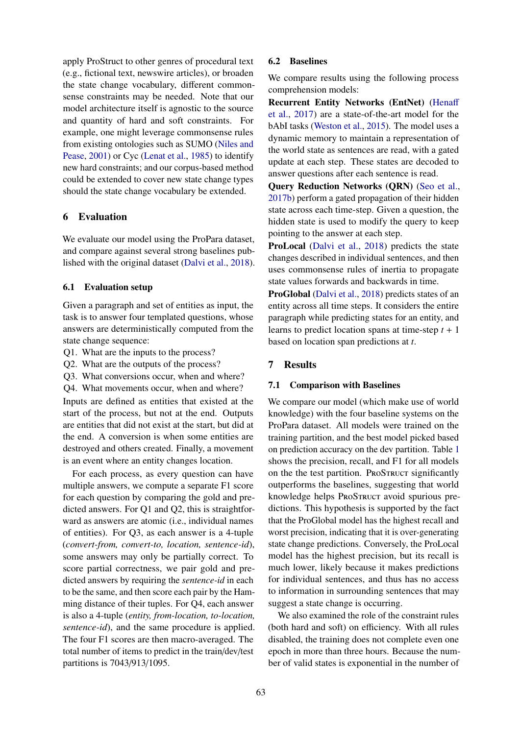apply ProStruct to other genres of procedural text (e.g., fictional text, newswire articles), or broaden the state change vocabulary, different commonsense constraints may be needed. Note that our model architecture itself is agnostic to the source and quantity of hard and soft constraints. For example, one might leverage commonsense rules from existing ontologies such as SUMO [\(Niles and](#page-9-19) [Pease,](#page-9-19) [2001\)](#page-9-19) or Cyc [\(Lenat et al.,](#page-9-20) [1985\)](#page-9-20) to identify new hard constraints; and our corpus-based method could be extended to cover new state change types should the state change vocabulary be extended.

### 6 Evaluation

We evaluate our model using the ProPara dataset, and compare against several strong baselines published with the original dataset [\(Dalvi et al.,](#page-9-2) [2018\)](#page-9-2).

### 6.1 Evaluation setup

Given a paragraph and set of entities as input, the task is to answer four templated questions, whose answers are deterministically computed from the state change sequence:

- Q1. What are the inputs to the process?
- Q2. What are the outputs of the process?
- Q3. What conversions occur, when and where?
- Q4. What movements occur, when and where?

Inputs are defined as entities that existed at the start of the process, but not at the end. Outputs are entities that did not exist at the start, but did at the end. A conversion is when some entities are destroyed and others created. Finally, a movement is an event where an entity changes location.

For each process, as every question can have multiple answers, we compute a separate F1 score for each question by comparing the gold and predicted answers. For Q1 and Q2, this is straightforward as answers are atomic (i.e., individual names of entities). For Q3, as each answer is a 4-tuple (*convert-from, convert-to, location, sentence-id*), some answers may only be partially correct. To score partial correctness, we pair gold and predicted answers by requiring the *sentence-id* in each to be the same, and then score each pair by the Hamming distance of their tuples. For Q4, each answer is also a 4-tuple (*entity, from-location, to-location, sentence-id*), and the same procedure is applied. The four F1 scores are then macro-averaged. The total number of items to predict in the train/dev/test partitions is 7043/913/1095.

### 6.2 Baselines

We compare results using the following process comprehension models:

Recurrent Entity Networks (EntNet) [\(Hena](#page-9-0)ff [et al.,](#page-9-0) [2017\)](#page-9-0) are a state-of-the-art model for the bAbI tasks [\(Weston et al.,](#page-9-14) [2015\)](#page-9-14). The model uses a dynamic memory to maintain a representation of the world state as sentences are read, with a gated update at each step. These states are decoded to answer questions after each sentence is read.

Query Reduction Networks (QRN) [\(Seo et al.,](#page-9-1) [2017b\)](#page-9-1) perform a gated propagation of their hidden state across each time-step. Given a question, the hidden state is used to modify the query to keep pointing to the answer at each step.

ProLocal [\(Dalvi et al.,](#page-9-2) [2018\)](#page-9-2) predicts the state changes described in individual sentences, and then uses commonsense rules of inertia to propagate state values forwards and backwards in time.

ProGlobal [\(Dalvi et al.,](#page-9-2) [2018\)](#page-9-2) predicts states of an entity across all time steps. It considers the entire paragraph while predicting states for an entity, and learns to predict location spans at time-step  $t + 1$ based on location span predictions at *t*.

### 7 Results

### 7.1 Comparison with Baselines

We compare our model (which make use of world knowledge) with the four baseline systems on the ProPara dataset. All models were trained on the training partition, and the best model picked based on prediction accuracy on the dev partition. Table [1](#page-7-0) shows the precision, recall, and F1 for all models on the the test partition. ProSTRUCT significantly outperforms the baselines, suggesting that world knowledge helps ProSTRUCT avoid spurious predictions. This hypothesis is supported by the fact that the ProGlobal model has the highest recall and worst precision, indicating that it is over-generating state change predictions. Conversely, the ProLocal model has the highest precision, but its recall is much lower, likely because it makes predictions for individual sentences, and thus has no access to information in surrounding sentences that may suggest a state change is occurring.

We also examined the role of the constraint rules (both hard and soft) on efficiency. With all rules disabled, the training does not complete even one epoch in more than three hours. Because the number of valid states is exponential in the number of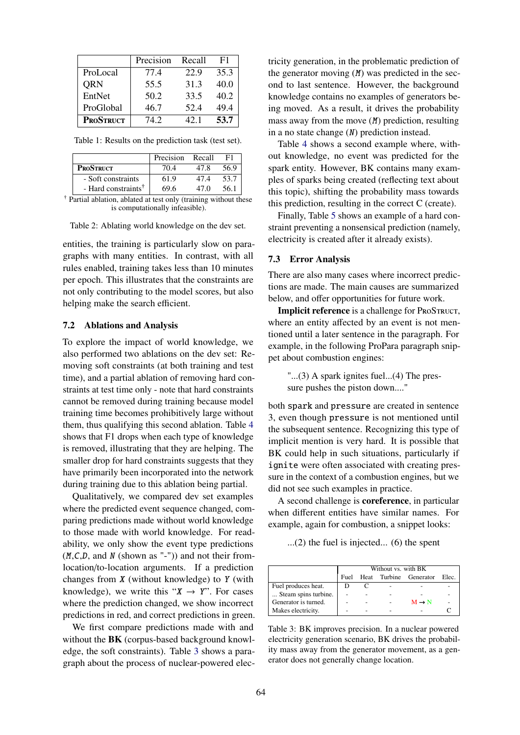<span id="page-7-0"></span>

|                  | Precision | Recall | F1   |
|------------------|-----------|--------|------|
| ProLocal         | 77.4      | 22.9   | 35.3 |
| <b>QRN</b>       | 55.5      | 31.3   | 40.0 |
| EntNet           | 50.2      | 33.5   | 40.2 |
| ProGlobal        | 46.7      | 52.4   | 49.4 |
| <b>PROSTRUCT</b> | 74.2      | 42.1   | 53.7 |

Table 1: Results on the prediction task (test set).

|                                 | Precision | Recall | F1   |
|---------------------------------|-----------|--------|------|
| <b>PROSTRUCT</b>                | 70.4      | 47.8   | 56.9 |
| - Soft constraints              | 61.9      | 47.4   | 53.7 |
| - Hard constraints <sup>†</sup> | 69.6      | 47 O   | 56.1 |

† Partial ablation, ablated at test only (training without these is computationally infeasible).

Table 2: Ablating world knowledge on the dev set.

entities, the training is particularly slow on paragraphs with many entities. In contrast, with all rules enabled, training takes less than 10 minutes per epoch. This illustrates that the constraints are not only contributing to the model scores, but also helping make the search efficient.

#### 7.2 Ablations and Analysis

To explore the impact of world knowledge, we also performed two ablations on the dev set: Removing soft constraints (at both training and test time), and a partial ablation of removing hard constraints at test time only - note that hard constraints cannot be removed during training because model training time becomes prohibitively large without them, thus qualifying this second ablation. Table [4](#page-8-4) shows that F1 drops when each type of knowledge is removed, illustrating that they are helping. The smaller drop for hard constraints suggests that they have primarily been incorporated into the network during training due to this ablation being partial.

Qualitatively, we compared dev set examples where the predicted event sequence changed, comparing predictions made without world knowledge to those made with world knowledge. For readability, we only show the event type predictions  $(M, C, D, \text{ and } N \text{ (shown as "--")})$  and not their fromlocation/to-location arguments. If a prediction changes from  $X$  (without knowledge) to  $Y$  (with knowledge), we write this " $X \rightarrow Y$ ". For cases where the prediction changed, we show incorrect predictions in red, and correct predictions in green.

We first compare predictions made with and without the BK (corpus-based background knowledge, the soft constraints). Table [3](#page-7-1) shows a paragraph about the process of nuclear-powered electricity generation, in the problematic prediction of the generator moving  $(M)$  was predicted in the second to last sentence. However, the background knowledge contains no examples of generators being moved. As a result, it drives the probability mass away from the move (M) prediction, resulting in a no state change (N) prediction instead.

Table [4](#page-8-4) shows a second example where, without knowledge, no event was predicted for the spark entity. However, BK contains many examples of sparks being created (reflecting text about this topic), shifting the probability mass towards this prediction, resulting in the correct C (create).

Finally, Table [5](#page-8-5) shows an example of a hard constraint preventing a nonsensical prediction (namely, electricity is created after it already exists).

#### 7.3 Error Analysis

There are also many cases where incorrect predictions are made. The main causes are summarized below, and offer opportunities for future work.

Implicit reference is a challenge for PROSTRUCT, where an entity affected by an event is not mentioned until a later sentence in the paragraph. For example, in the following ProPara paragraph snippet about combustion engines:

"...(3) A spark ignites fuel...(4) The pressure pushes the piston down...."

both spark and pressure are created in sentence 3, even though pressure is not mentioned until the subsequent sentence. Recognizing this type of implicit mention is very hard. It is possible that BK could help in such situations, particularly if ignite were often associated with creating pressure in the context of a combustion engines, but we did not see such examples in practice.

A second challenge is coreference, in particular when different entities have similar names. For example, again for combustion, a snippet looks:

...(2) the fuel is injected... (6) the spent

<span id="page-7-1"></span>

|                      | Without vs. with BK |  |  |                        |       |  |
|----------------------|---------------------|--|--|------------------------|-------|--|
|                      | Fuel                |  |  | Heat Turbine Generator | Elec. |  |
| Fuel produces heat.  |                     |  |  |                        |       |  |
| Steam spins turbine. |                     |  |  |                        |       |  |
| Generator is turned. |                     |  |  | $M \rightarrow N$      |       |  |
| Makes electricity.   |                     |  |  |                        |       |  |

Table 3: BK improves precision. In a nuclear powered electricity generation scenario, BK drives the probability mass away from the generator movement, as a generator does not generally change location.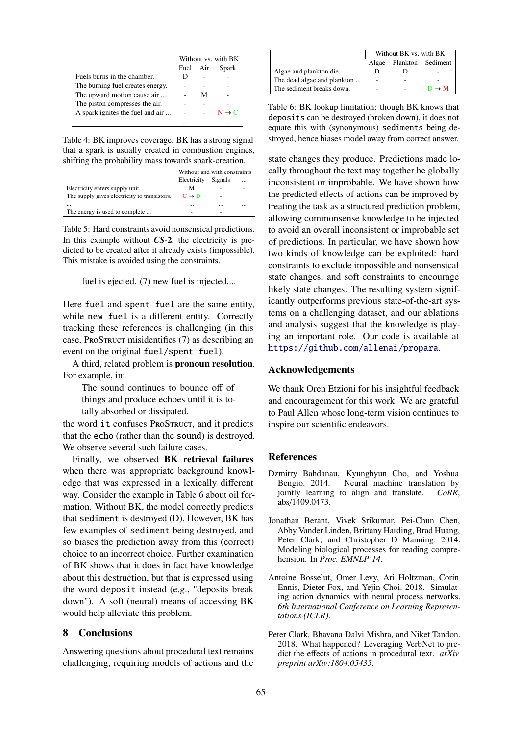<span id="page-8-4"></span>

|                                  | Without vs. with BK |   |                   |
|----------------------------------|---------------------|---|-------------------|
|                                  | Fuel Air            |   | Spark             |
| Fuels burns in the chamber.      | D                   |   |                   |
| The burning fuel creates energy. |                     |   |                   |
| The upward motion cause air      |                     | М |                   |
| The piston compresses the air.   |                     |   |                   |
| A spark ignites the fuel and air |                     |   | $N \rightarrow C$ |
|                                  |                     |   |                   |

Table 4: BK improves coverage. BK has a strong signal that a spark is usually created in combustion engines, shifting the probability mass towards spark-creation.

<span id="page-8-5"></span>

|                                              | Without and with constraints |         |          |  |
|----------------------------------------------|------------------------------|---------|----------|--|
|                                              | Electricity                  | Signals | $\cdots$ |  |
| Electricity enters supply unit.              |                              |         |          |  |
| The supply gives electricity to transistors. | $C \rightarrow D$            |         |          |  |
|                                              | $\cdots$                     |         | $\cdots$ |  |
| The energy is used to complete               |                              |         |          |  |

Table 5: Hard constraints avoid nonsensical predictions. In this example without *CS*-2, the electricity is predicted to be created after it already exists (impossible). This mistake is avoided using the constraints.

fuel is ejected. (7) new fuel is injected....

Here fuel and spent fuel are the same entity, while new fuel is a different entity. Correctly tracking these references is challenging (in this case, ProStruct misidentifies (7) as describing an event on the original fuel/spent fuel).

A third, related problem is pronoun resolution. For example, in:

The sound continues to bounce off of things and produce echoes until it is totally absorbed or dissipated.

the word it confuses PROSTRUCT, and it predicts that the echo (rather than the sound) is destroyed. We observe several such failure cases.

Finally, we observed BK retrieval failures when there was appropriate background knowledge that was expressed in a lexically different way. Consider the example in Table [6](#page-8-6) about oil formation. Without BK, the model correctly predicts that sediment is destroyed (D). However, BK has few examples of sediment being destroyed, and so biases the prediction away from this (correct) choice to an incorrect choice. Further examination of BK shows that it does in fact have knowledge about this destruction, but that is expressed using the word deposit instead (e.g., "deposits break down"). A soft (neural) means of accessing BK would help alleviate this problem.

### 8 Conclusions

Answering questions about procedural text remains challenging, requiring models of actions and the

<span id="page-8-6"></span>

|                             | Without BK vs. with BK |                   |                   |  |
|-----------------------------|------------------------|-------------------|-------------------|--|
|                             | Algae                  | Plankton Sediment |                   |  |
| Algae and plankton die.     |                        |                   |                   |  |
| The dead algae and plankton |                        |                   |                   |  |
| The sediment breaks down.   |                        |                   | $D \rightarrow M$ |  |

Table 6: BK lookup limitation: though BK knows that deposits can be destroyed (broken down), it does not equate this with (synonymous) sediments being destroyed, hence biases model away from correct answer.

state changes they produce. Predictions made locally throughout the text may together be globally inconsistent or improbable. We have shown how the predicted effects of actions can be improved by treating the task as a structured prediction problem, allowing commonsense knowledge to be injected to avoid an overall inconsistent or improbable set of predictions. In particular, we have shown how two kinds of knowledge can be exploited: hard constraints to exclude impossible and nonsensical state changes, and soft constraints to encourage likely state changes. The resulting system significantly outperforms previous state-of-the-art systems on a challenging dataset, and our ablations and analysis suggest that the knowledge is playing an important role. Our code is available at <https://github.com/allenai/propara>.

### Acknowledgements

We thank Oren Etzioni for his insightful feedback and encouragement for this work. We are grateful to Paul Allen whose long-term vision continues to inspire our scientific endeavors.

## **References**

- <span id="page-8-3"></span>Dzmitry Bahdanau, Kyunghyun Cho, and Yoshua Neural machine translation by jointly learning to align and translate. *CoRR*, abs/1409.0473.
- <span id="page-8-2"></span>Jonathan Berant, Vivek Srikumar, Pei-Chun Chen, Abby Vander Linden, Brittany Harding, Brad Huang, Peter Clark, and Christopher D Manning. 2014. Modeling biological processes for reading comprehension. In *Proc. EMNLP'14*.
- <span id="page-8-0"></span>Antoine Bosselut, Omer Levy, Ari Holtzman, Corin Ennis, Dieter Fox, and Yejin Choi. 2018. Simulating action dynamics with neural process networks. *6th International Conference on Learning Representations (ICLR)*.
- <span id="page-8-1"></span>Peter Clark, Bhavana Dalvi Mishra, and Niket Tandon. 2018. What happened? Leveraging VerbNet to predict the effects of actions in procedural text. *arXiv preprint arXiv:1804.05435*.